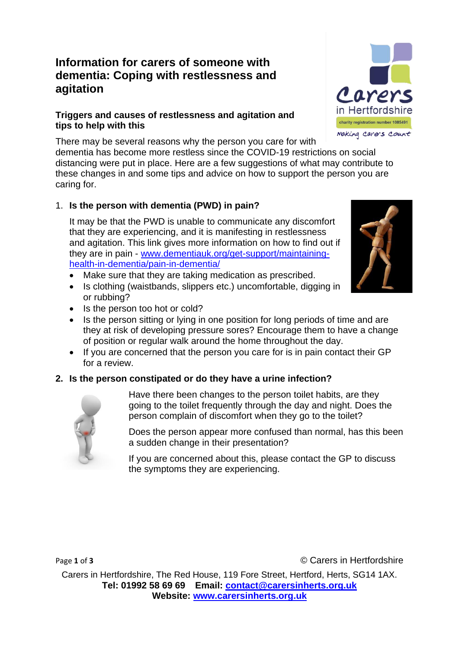# **Information for carers of someone with dementia: Coping with restlessness and agitation**

## **Triggers and causes of restlessness and agitation and tips to help with this**

There may be several reasons why the person you care for with dementia has become more restless since the COVID-19 restrictions on social distancing were put in place. Here are a few suggestions of what may contribute to these changes in and some tips and advice on how to support the person you are caring for.

## 1. **Is the person with dementia (PWD) in pain?**

It may be that the PWD is unable to communicate any discomfort that they are experiencing, and it is manifesting in restlessness and agitation. This link gives more information on how to find out if they are in pain - [www.dementiauk.org/get-support/maintaining](http://www.dementiauk.org/get-support/maintaining-health-in-dementia/pain-in-dementia/)[health-in-dementia/pain-in-dementia/](http://www.dementiauk.org/get-support/maintaining-health-in-dementia/pain-in-dementia/)

- Make sure that they are taking medication as prescribed.
- Is clothing (waistbands, slippers etc.) uncomfortable, digging in or rubbing?
- Is the person too hot or cold?
- Is the person sitting or lying in one position for long periods of time and are they at risk of developing pressure sores? Encourage them to have a change of position or regular walk around the home throughout the day.
- If you are concerned that the person you care for is in pain contact their GP for a review.

## **2. Is the person constipated or do they have a urine infection?**



Have there been changes to the person toilet habits, are they going to the toilet frequently through the day and night. Does the person complain of discomfort when they go to the toilet?

Does the person appear more confused than normal, has this been a sudden change in their presentation?

If you are concerned about this, please contact the GP to discuss the symptoms they are experiencing.

Page 1 of 3 **Carella Page 1 of 3 Carella C** Carella **C** Carella **C** Carella **C** Carella **C** Carella **C** Carella **C** Carella **C** Carella **C** Carella **C** Carella **C** Carella **C** Carella **C** Carella **C** Carella **C** Car

Carers in Hertfordshire, The Red House, 119 Fore Street, Hertford, Herts, SG14 1AX. **Tel: 01992 58 69 69 Email: [contact@carersinherts.org.uk](mailto:contact@carersinherts.org.uk) Website: [www.carersinherts.org.uk](http://www.carersinherts.org.uk/)**



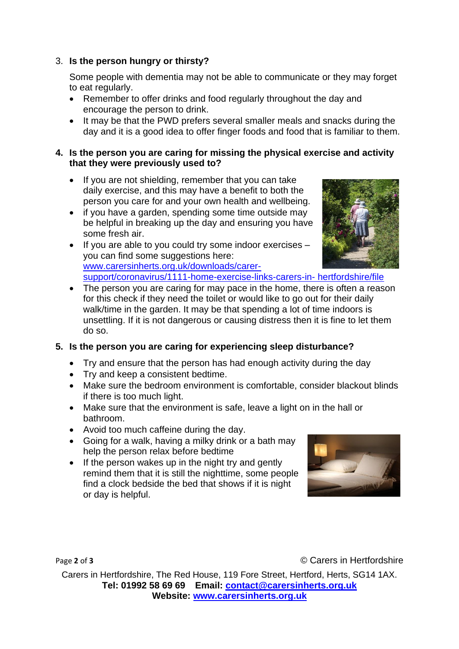## 3. **Is the person hungry or thirsty?**

Some people with dementia may not be able to communicate or they may forget to eat regularly.

- Remember to offer drinks and food regularly throughout the day and encourage the person to drink.
- It may be that the PWD prefers several smaller meals and snacks during the day and it is a good idea to offer finger foods and food that is familiar to them.

#### **4. Is the person you are caring for missing the physical exercise and activity that they were previously used to?**

- If you are not shielding, remember that you can take daily exercise, and this may have a benefit to both the person you care for and your own health and wellbeing.
- if you have a garden, spending some time outside may be helpful in breaking up the day and ensuring you have some fresh air.
- If you are able to you could try some indoor exercises you can find some suggestions here: [www.carersinherts.org.uk/downloads/carer](https://www.carersinherts.org.uk/downloads/carer-support/coronavirus/1111-home-exercise-links-carers-in-%20hertfordshire/file)[support/coronavirus/1111-home-exercise-links-carers-in-](https://www.carersinherts.org.uk/downloads/carer-support/coronavirus/1111-home-exercise-links-carers-in-%20hertfordshire/file) hertfordshire/file
- The person you are caring for may pace in the home, there is often a reason for this check if they need the toilet or would like to go out for their daily walk/time in the garden. It may be that spending a lot of time indoors is unsettling. If it is not dangerous or causing distress then it is fine to let them do so.

## **5. Is the person you are caring for experiencing sleep disturbance?**

- Try and ensure that the person has had enough activity during the day
- Try and keep a consistent bedtime.
- Make sure the bedroom environment is comfortable, consider blackout blinds if there is too much light.
- Make sure that the environment is safe, leave a light on in the hall or bathroom.
- Avoid too much caffeine during the day.
- Going for a walk, having a milky drink or a bath may help the person relax before bedtime
- If the person wakes up in the night try and gently remind them that it is still the nighttime, some people find a clock bedside the bed that shows if it is night or day is helpful.



Page 2 of 3 **Carella 2** of 3 **Carella 2** of 3 **Carella C** Carella **C** Carella **C** Carella **C** Carella **C** Carella **C** Carella **C** Carella **C** Carella **C** Carella **C** Carella **C** Carella **C** Carella **C** Carella **C** Ca

Carers in Hertfordshire, The Red House, 119 Fore Street, Hertford, Herts, SG14 1AX. **Tel: 01992 58 69 69 Email: [contact@carersinherts.org.uk](mailto:contact@carersinherts.org.uk) Website: [www.carersinherts.org.uk](http://www.carersinherts.org.uk/)**